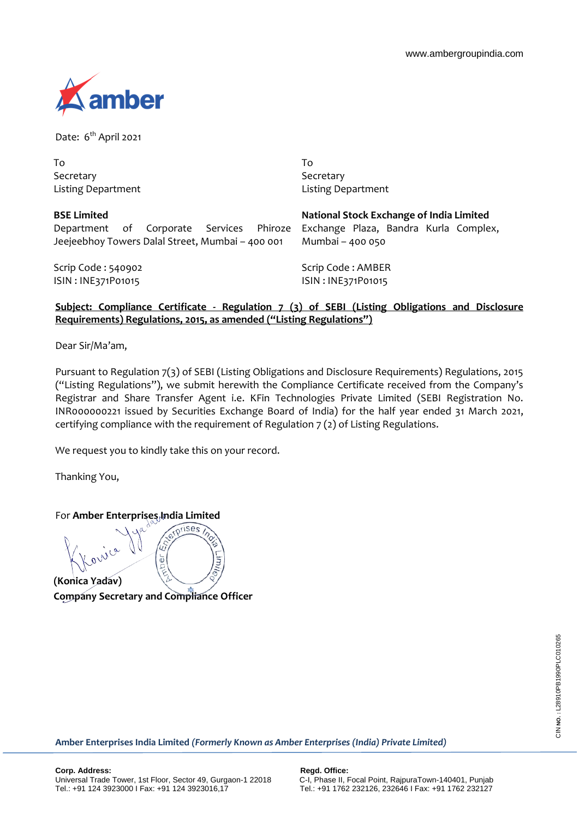

Date: 6<sup>th</sup> April 2021

| Τo                 |
|--------------------|
| Secretary          |
| Listing Department |

To Secretary Listing Department

| <b>BSE Limited</b>                                                             |  |  |  |  | National Stock Exchange of India Limited |  |  |  |  |  |
|--------------------------------------------------------------------------------|--|--|--|--|------------------------------------------|--|--|--|--|--|
| Department of Corporate Services Phiroze Exchange Plaza, Bandra Kurla Complex, |  |  |  |  |                                          |  |  |  |  |  |
| Jeejeebhoy Towers Dalal Street, Mumbai - 400 001                               |  |  |  |  | Mumbai - 400 050                         |  |  |  |  |  |
| Scrip Code: 540902                                                             |  |  |  |  | Scrip Code: AMBER                        |  |  |  |  |  |
| ISIN: INE371P01015                                                             |  |  |  |  | ISIN: INE371P01015                       |  |  |  |  |  |

## **Subject: Compliance Certificate - Regulation 7 (3) of SEBI (Listing Obligations and Disclosure Requirements) Regulations, 2015, as amended ("Listing Regulations")**

Dear Sir/Ma'am,

Pursuant to Regulation 7(3) of SEBI (Listing Obligations and Disclosure Requirements) Regulations, 2015 ("Listing Regulations"), we submit herewith the Compliance Certificate received from the Company's Registrar and Share Transfer Agent i.e. KFin Technologies Private Limited (SEBI Registration No. INR000000221 issued by Securities Exchange Board of India) for the half year ended 31 March 2021, certifying compliance with the requirement of Regulation 7 (2) of Listing Regulations.

We request you to kindly take this on your record.

Thanking You,

For **Amber Enterprises, India Limited** 

**(Konica Yadav) Company Secretary and Compliance Officer**

um,

**Amber Enterprises India Limited** *(Formerly Known as Amber Enterprises (India) Private Limited)*